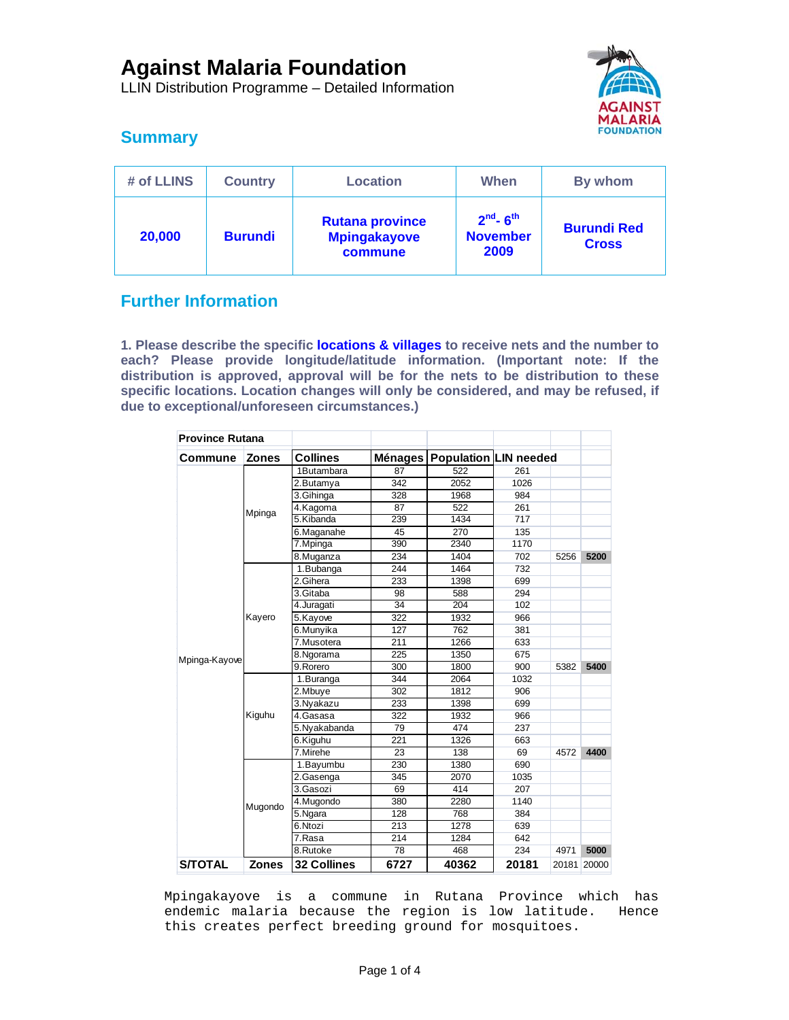LLIN Distribution Programme – Detailed Information



# **Summary**

| # of LLINS | <b>Country</b> | <b>Location</b>                                          | When                                               | By whom                            |  |
|------------|----------------|----------------------------------------------------------|----------------------------------------------------|------------------------------------|--|
| 20,000     | <b>Burundi</b> | <b>Rutana province</b><br><b>Mpingakayove</b><br>commune | $2nd$ - 6 <sup>th</sup><br><b>November</b><br>2009 | <b>Burundi Red</b><br><b>Cross</b> |  |

## **Further Information**

**1. Please describe the specific locations & villages to receive nets and the number to each? Please provide longitude/latitude information. (Important note: If the distribution is approved, approval will be for the nets to be distribution to these specific locations. Location changes will only be considered, and may be refused, if due to exceptional/unforeseen circumstances.)** 

| <b>Province Rutana</b> |              |                    |                |       |                              |       |       |
|------------------------|--------------|--------------------|----------------|-------|------------------------------|-------|-------|
| Commune                | <b>Zones</b> | <b>Collines</b>    | <b>Ménages</b> |       | <b>Population LIN needed</b> |       |       |
| Mpinga-Kayove          | Mpinga       | 1Butambara         | 87             | 522   | 261                          |       |       |
|                        |              | 2.Butamya          | 342            | 2052  | 1026                         |       |       |
|                        |              | 3.Gihinga          | 328            | 1968  | 984                          |       |       |
|                        |              | 4.Kagoma           | 87             | 522   | 261                          |       |       |
|                        |              | 5.Kibanda          | 239            | 1434  | 717                          |       |       |
|                        |              | 6.Maganahe         | 45             | 270   | 135                          |       |       |
|                        |              | 7. Mpinga          | 390            | 2340  | 1170                         |       |       |
|                        |              | 8.Muganza          | 234            | 1404  | 702                          | 5256  | 5200  |
|                        | Kayero       | 1.Bubanga          | 244            | 1464  | 732                          |       |       |
|                        |              | 2.Gihera           | 233            | 1398  | 699                          |       |       |
|                        |              | 3.Gitaba           | 98             | 588   | 294                          |       |       |
|                        |              | 4.Juragati         | 34             | 204   | 102                          |       |       |
|                        |              | 5.Kayove           | 322            | 1932  | 966                          |       |       |
|                        |              | 6.Munyika          | 127            | 762   | 381                          |       |       |
|                        |              | 7.Musotera         | 211            | 1266  | 633                          |       |       |
|                        |              | 8.Ngorama          | 225            | 1350  | 675                          |       |       |
|                        |              | 9.Rorero           | 300            | 1800  | 900                          | 5382  | 5400  |
|                        | Kiguhu       | 1. Buranga         | 344            | 2064  | 1032                         |       |       |
|                        |              | 2.Mbuye            | 302            | 1812  | 906                          |       |       |
|                        |              | 3. Nyakazu         | 233            | 1398  | 699                          |       |       |
|                        |              | 4.Gasasa           | 322            | 1932  | 966                          |       |       |
|                        |              | 5.Nyakabanda       | 79             | 474   | 237                          |       |       |
|                        |              | 6.Kiguhu           | 221            | 1326  | 663                          |       |       |
|                        |              | 7.Mirehe           | 23             | 138   | 69                           | 4572  | 4400  |
|                        | Mugondo      | 1.Bayumbu          | 230            | 1380  | 690                          |       |       |
|                        |              | 2.Gasenga          | 345            | 2070  | 1035                         |       |       |
|                        |              | 3.Gasozi           | 69             | 414   | 207                          |       |       |
|                        |              | 4.Mugondo          | 380            | 2280  | 1140                         |       |       |
|                        |              | 5.Ngara            | 128            | 768   | 384                          |       |       |
|                        |              | 6.Ntozi            | 213            | 1278  | 639                          |       |       |
|                        |              | 7.Rasa             | 214            | 1284  | 642                          |       |       |
|                        |              | 8.Rutoke           | 78             | 468   | 234                          | 4971  | 5000  |
| <b>S/TOTAL</b>         | <b>Zones</b> | <b>32 Collines</b> | 6727           | 40362 | 20181                        | 20181 | 20000 |

Mpingakayove is a commune in Rutana Province which has endemic malaria because the region is low latitude. Hence this creates perfect breeding ground for mosquitoes.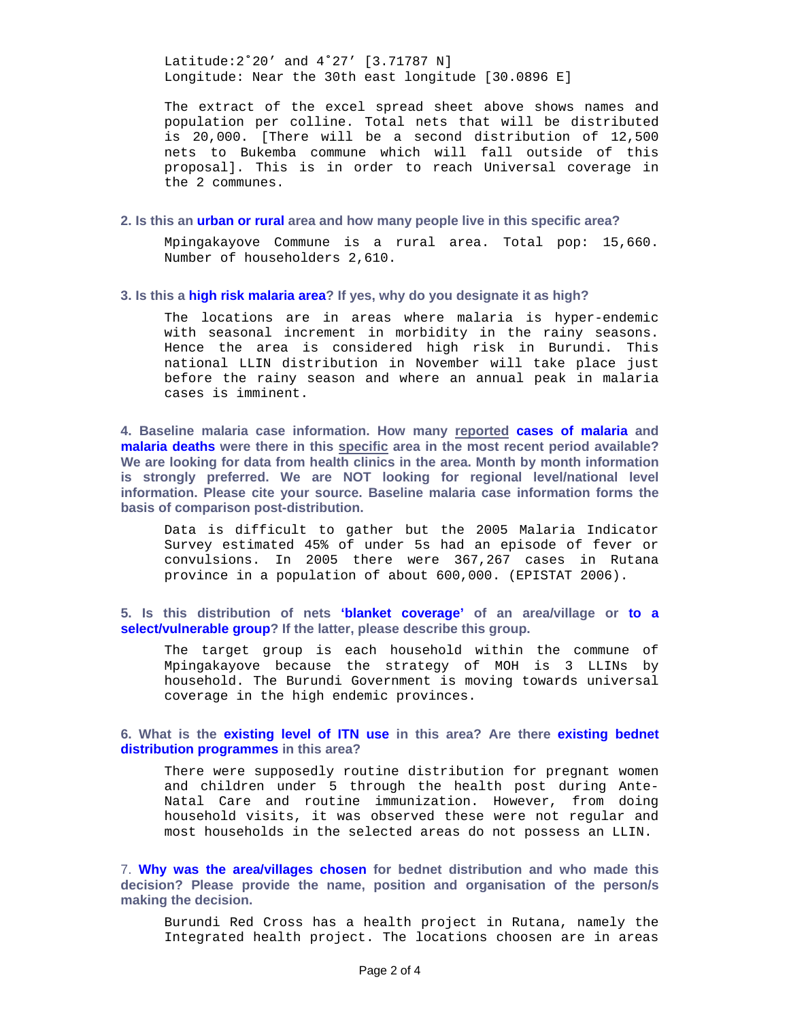Latitude:2˚20' and 4˚27' [3.71787 N] Longitude: Near the 30th east longitude [30.0896 E]

The extract of the excel spread sheet above shows names and population per colline. Total nets that will be distributed is 20,000. [There will be a second distribution of 12,500 nets to Bukemba commune which will fall outside of this proposal]. This is in order to reach Universal coverage in the 2 communes.

### **2. Is this an urban or rural area and how many people live in this specific area?**

Mpingakayove Commune is a rural area. Total pop: 15,660. Number of householders 2,610.

#### **3. Is this a high risk malaria area? If yes, why do you designate it as high?**

The locations are in areas where malaria is hyper-endemic with seasonal increment in morbidity in the rainy seasons. Hence the area is considered high risk in Burundi. This national LLIN distribution in November will take place just before the rainy season and where an annual peak in malaria cases is imminent.

**4. Baseline malaria case information. How many reported cases of malaria and malaria deaths were there in this specific area in the most recent period available? We are looking for data from health clinics in the area. Month by month information is strongly preferred. We are NOT looking for regional level/national level information. Please cite your source. Baseline malaria case information forms the basis of comparison post-distribution.** 

Data is difficult to gather but the 2005 Malaria Indicator Survey estimated 45% of under 5s had an episode of fever or convulsions. In 2005 there were 367,267 cases in Rutana province in a population of about 600,000. (EPISTAT 2006).

**5. Is this distribution of nets 'blanket coverage' of an area/village or to a select/vulnerable group? If the latter, please describe this group.** 

The target group is each household within the commune of Mpingakayove because the strategy of MOH is 3 LLINs by household. The Burundi Government is moving towards universal coverage in the high endemic provinces.

#### **6. What is the existing level of ITN use in this area? Are there existing bednet distribution programmes in this area?**

There were supposedly routine distribution for pregnant women and children under 5 through the health post during Ante-Natal Care and routine immunization. However, from doing household visits, it was observed these were not regular and most households in the selected areas do not possess an LLIN.

7. **Why was the area/villages chosen for bednet distribution and who made this decision? Please provide the name, position and organisation of the person/s making the decision.** 

Burundi Red Cross has a health project in Rutana, namely the Integrated health project. The locations choosen are in areas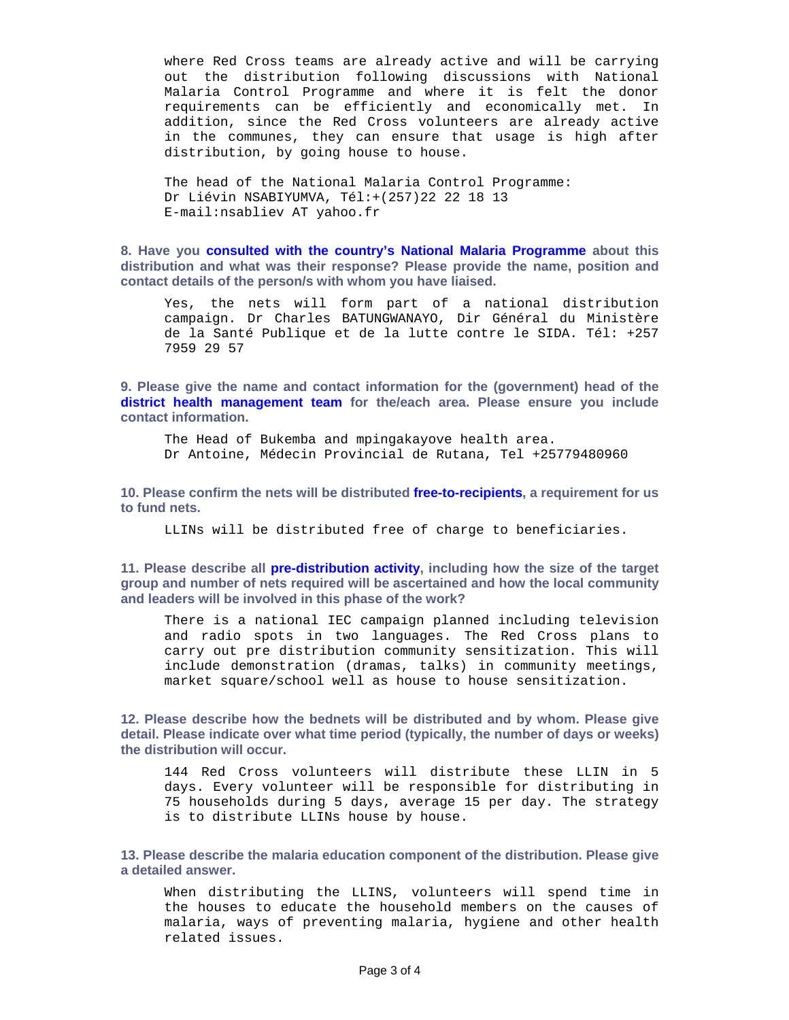where Red Cross teams are already active and will be carrying out the distribution following discussions with National Malaria Control Programme and where it is felt the donor requirements can be efficiently and economically met. In addition, since the Red Cross volunteers are already active in the communes, they can ensure that usage is high after distribution, by going house to house.

The head of the National Malaria Control Programme: Dr Liévin NSABIYUMVA, Tél:+(257)22 22 18 13 E-mail:nsabliev AT yahoo.fr

**8. Have you consulted with the country's National Malaria Programme about this distribution and what was their response? Please provide the name, position and contact details of the person/s with whom you have liaised.** 

Yes, the nets will form part of a national distribution campaign. Dr Charles BATUNGWANAYO, Dir Général du Ministère de la Santé Publique et de la lutte contre le SIDA. Tél: +257 7959 29 57

**9. Please give the name and contact information for the (government) head of the district health management team for the/each area. Please ensure you include contact information.** 

The Head of Bukemba and mpingakayove health area. Dr Antoine, Médecin Provincial de Rutana, Tel +25779480960

**10. Please confirm the nets will be distributed free-to-recipients, a requirement for us to fund nets.** 

LLINs will be distributed free of charge to beneficiaries.

**11. Please describe all pre-distribution activity, including how the size of the target group and number of nets required will be ascertained and how the local community and leaders will be involved in this phase of the work?** 

There is a national IEC campaign planned including television and radio spots in two languages. The Red Cross plans to carry out pre distribution community sensitization. This will include demonstration (dramas, talks) in community meetings, market square/school well as house to house sensitization.

**12. Please describe how the bednets will be distributed and by whom. Please give detail. Please indicate over what time period (typically, the number of days or weeks) the distribution will occur.** 

144 Red Cross volunteers will distribute these LLIN in 5 days. Every volunteer will be responsible for distributing in 75 households during 5 days, average 15 per day. The strategy is to distribute LLINs house by house.

**13. Please describe the malaria education component of the distribution. Please give a detailed answer.** 

When distributing the LLINS, volunteers will spend time in the houses to educate the household members on the causes of malaria, ways of preventing malaria, hygiene and other health related issues.